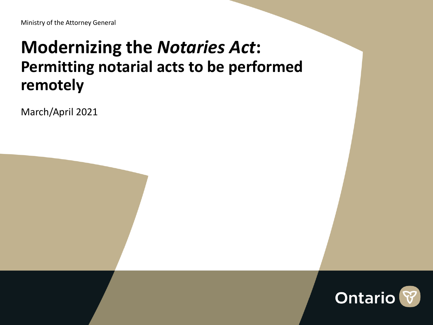#### **Modernizing the** *Notaries Act***: Permitting notarial acts to be performed remotely**

March/April 2021

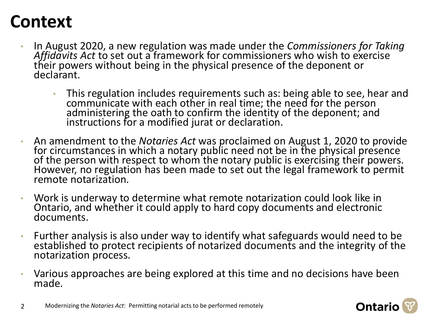### **Context**

- In August 2020, a new regulation was made under the *Commissioners for Taking Affidavits Act* to set out a framework for commissioners who wish to exercise their powers without being in the physical presence of the deponent or declarant.
	- This regulation includes requirements such as: being able to see, hear and communicate with each other in real time; the need for the person administering the oath to confirm the identity of the deponent; and instructions for a modified jurat or declaration.
- An amendment to the *Notaries Act* was proclaimed on August 1, 2020 to provide for circumstances in which a notary public need not be in the physical presence of the person with respect to whom the notary public is exercising their powers. However, no regulation has been made to set out the legal framework to permit remote notarization.
- Work is underway to determine what remote notarization could look like in Ontario, and whether it could apply to hard copy documents and electronic documents.
- Further analysis is also under way to identify what safeguards would need to be established to protect recipients of notarized documents and the integrity of the notarization process.
- Various approaches are being explored at this time and no decisions have been made.



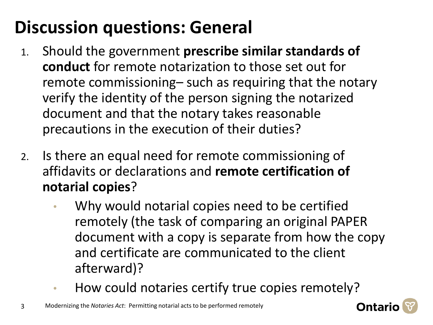# **Discussion questions: General**

- 1. Should the government **prescribe similar standards of conduct** for remote notarization to those set out for remote commissioning– such as requiring that the notary verify the identity of the person signing the notarized document and that the notary takes reasonable precautions in the execution of their duties?
- 2. Is there an equal need for remote commissioning of affidavits or declarations and **remote certification of notarial copies**?
	- Why would notarial copies need to be certified remotely (the task of comparing an original PAPER document with a copy is separate from how the copy and certificate are communicated to the client afterward)?
	- How could notaries certify true copies remotely?

3 Modernizing the *Notaries Act*: Permitting notarial acts to be performed remotely

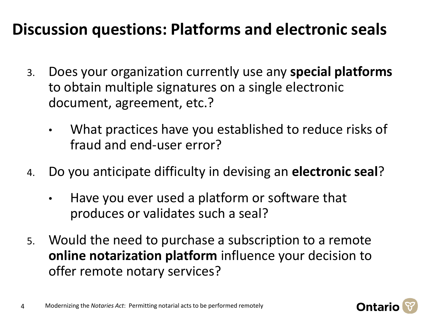### **Discussion questions: Platforms and electronic seals**

- 3. Does your organization currently use any **special platforms**  to obtain multiple signatures on a single electronic document, agreement, etc.?
	- What practices have you established to reduce risks of fraud and end-user error?
- 4. Do you anticipate difficulty in devising an **electronic seal**?
	- Have you ever used a platform or software that produces or validates such a seal?
- 5. Would the need to purchase a subscription to a remote **online notarization platform** influence your decision to offer remote notary services?

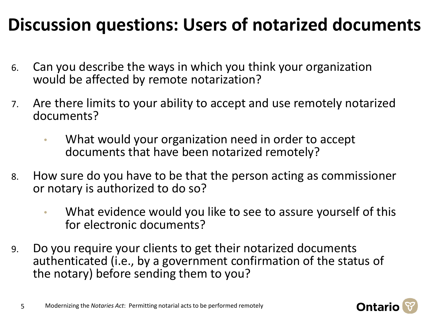### **Discussion questions: Users of notarized documents**

- 6. Can you describe the ways in which you think your organization would be affected by remote notarization?
- 7. Are there limits to your ability to accept and use remotely notarized documents?
	- What would your organization need in order to accept documents that have been notarized remotely?
- 8. How sure do you have to be that the person acting as commissioner or notary is authorized to do so?
	- What evidence would you like to see to assure yourself of this for electronic documents?
- 9. Do you require your clients to get their notarized documents authenticated (i.e., by a government confirmation of the status of the notary) before sending them to you?

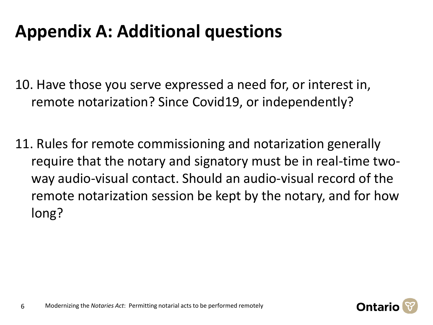### **Appendix A: Additional questions**

10. Have those you serve expressed a need for, or interest in, remote notarization? Since Covid19, or independently?

11. Rules for remote commissioning and notarization generally require that the notary and signatory must be in real-time twoway audio-visual contact. Should an audio-visual record of the remote notarization session be kept by the notary, and for how long?

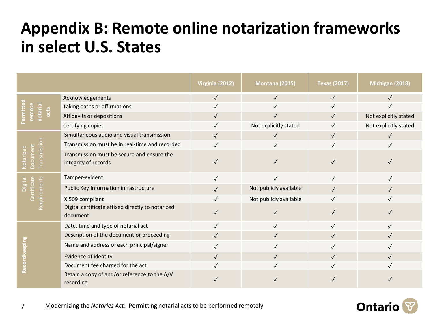### **Appendix B: Remote online notarization frameworks in select U.S. States**

|                                                       |                                                                    | Virginia (2012) | <b>Montana (2015)</b>  | <b>Texas (2017)</b> | Michigan (2018)       |
|-------------------------------------------------------|--------------------------------------------------------------------|-----------------|------------------------|---------------------|-----------------------|
| ermitte<br>remote<br>notarial<br>$\frac{1}{\sqrt{2}}$ | Acknowledgements                                                   | $\sqrt{}$       | $\sqrt{}$              | $\sqrt{}$           | $\checkmark$          |
|                                                       | Taking oaths or affirmations                                       | $\sqrt{}$       | $\checkmark$           | $\checkmark$        | $\checkmark$          |
|                                                       | Affidavits or depositions                                          | $\sqrt{}$       |                        | $\checkmark$        | Not explicitly stated |
|                                                       | Certifying copies                                                  | $\checkmark$    | Not explicitly stated  | $\checkmark$        | Not explicitly stated |
| <b>Transmissio</b><br>Document<br>Notarized           | Simultaneous audio and visual transmission                         | $\sqrt{}$       | $\checkmark$           | $\checkmark$        | $\sqrt{}$             |
|                                                       | Transmission must be in real-time and recorded                     | $\checkmark$    | $\checkmark$           | $\checkmark$        | $\checkmark$          |
|                                                       | Transmission must be secure and ensure the<br>integrity of records | $\checkmark$    |                        |                     |                       |
| Certificate<br>uirements<br>Digital                   | Tamper-evident                                                     | $\sqrt{}$       | $\checkmark$           | $\checkmark$        | $\checkmark$          |
|                                                       | Public Key Information infrastructure                              | $\checkmark$    | Not publicly available | $\checkmark$        | $\sqrt{}$             |
|                                                       | X.509 compliant                                                    | $\checkmark$    | Not publicly available | $\checkmark$        |                       |
|                                                       | Digital certificate affixed directly to notarized<br>document      | $\checkmark$    | $\checkmark$           | $\checkmark$        | $\checkmark$          |
| ecordkeeping<br>œ                                     | Date, time and type of notarial act                                | $\sqrt{}$       | $\checkmark$           | $\checkmark$        | $\checkmark$          |
|                                                       | Description of the document or proceeding                          | $\sqrt{}$       |                        | $\checkmark$        | $\sqrt{}$             |
|                                                       | Name and address of each principal/signer                          | $\checkmark$    | $\checkmark$           | $\checkmark$        | $\sqrt{}$             |
|                                                       | Evidence of identity                                               | $\sqrt{}$       | $\checkmark$           | $\checkmark$        | $\checkmark$          |
|                                                       | Document fee charged for the act                                   | $\checkmark$    |                        | $\checkmark$        |                       |
|                                                       | Retain a copy of and/or reference to the A/V<br>recording          |                 |                        |                     |                       |

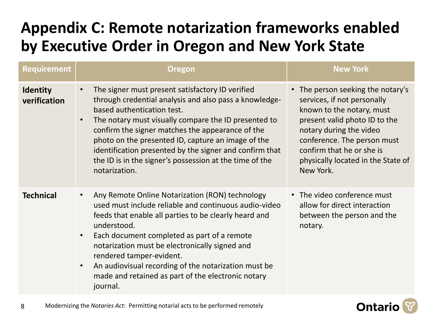#### **Appendix C: Remote notarization frameworks enabled by Executive Order in Oregon and New York State**

| <b>Requirement</b>              | <b>Oregon</b>                                                                                                                                                                                                                                                                                                                                                                                                                                                     | <b>New York</b>                                                                                                                                                                                                                                                          |
|---------------------------------|-------------------------------------------------------------------------------------------------------------------------------------------------------------------------------------------------------------------------------------------------------------------------------------------------------------------------------------------------------------------------------------------------------------------------------------------------------------------|--------------------------------------------------------------------------------------------------------------------------------------------------------------------------------------------------------------------------------------------------------------------------|
| <b>Identity</b><br>verification | The signer must present satisfactory ID verified<br>through credential analysis and also pass a knowledge-<br>based authentication test.<br>The notary must visually compare the ID presented to<br>confirm the signer matches the appearance of the<br>photo on the presented ID, capture an image of the<br>identification presented by the signer and confirm that<br>the ID is in the signer's possession at the time of the<br>notarization.                 | • The person seeking the notary's<br>services, if not personally<br>known to the notary, must<br>present valid photo ID to the<br>notary during the video<br>conference. The person must<br>confirm that he or she is<br>physically located in the State of<br>New York. |
| <b>Technical</b>                | Any Remote Online Notarization (RON) technology<br>used must include reliable and continuous audio-video<br>feeds that enable all parties to be clearly heard and<br>understood.<br>Each document completed as part of a remote<br>$\bullet$<br>notarization must be electronically signed and<br>rendered tamper-evident.<br>An audiovisual recording of the notarization must be<br>$\bullet$<br>made and retained as part of the electronic notary<br>journal. | • The video conference must<br>allow for direct interaction<br>between the person and the<br>notary.                                                                                                                                                                     |

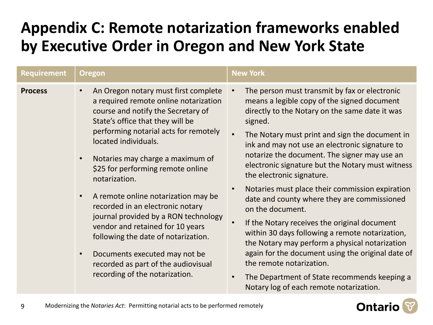#### **Appendix C: Remote notarization frameworks enabled by Executive Order in Oregon and New York State**

| <b>Requirement</b> | <b>Oregon</b>                                                                                                                                                                                                                                                                                                                                   | <b>New York</b>                                                                                                                                                                                                                                                                                                                                                                                                                                                  |  |  |
|--------------------|-------------------------------------------------------------------------------------------------------------------------------------------------------------------------------------------------------------------------------------------------------------------------------------------------------------------------------------------------|------------------------------------------------------------------------------------------------------------------------------------------------------------------------------------------------------------------------------------------------------------------------------------------------------------------------------------------------------------------------------------------------------------------------------------------------------------------|--|--|
| <b>Process</b>     | An Oregon notary must first complete<br>$\bullet$<br>a required remote online notarization<br>course and notify the Secretary of<br>State's office that they will be<br>performing notarial acts for remotely<br>located individuals.<br>Notaries may charge a maximum of<br>\$25 for performing remote online                                  | The person must transmit by fax or electronic<br>means a legible copy of the signed document<br>directly to the Notary on the same date it was<br>signed.<br>The Notary must print and sign the document in<br>ink and may not use an electronic signature to<br>notarize the document. The signer may use an<br>electronic signature but the Notary must witness<br>the electronic signature.                                                                   |  |  |
|                    | notarization.<br>A remote online notarization may be<br>$\bullet$<br>recorded in an electronic notary<br>journal provided by a RON technology<br>vendor and retained for 10 years<br>following the date of notarization.<br>Documents executed may not be<br>$\bullet$<br>recorded as part of the audiovisual<br>recording of the notarization. | Notaries must place their commission expiration<br>date and county where they are commissioned<br>on the document.<br>If the Notary receives the original document<br>within 30 days following a remote notarization,<br>the Notary may perform a physical notarization<br>again for the document using the original date of<br>the remote notarization.<br>The Department of State recommends keeping a<br>$\bullet$<br>Notary log of each remote notarization. |  |  |